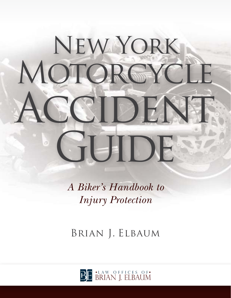# New York MOTORCYCL CIDEN EUDI

*A Biker's Handbook to Injury Protection*

Brian J. Elbaum

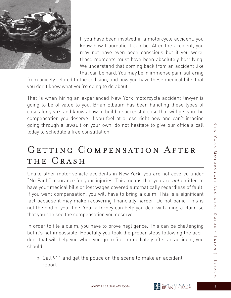

If you have been involved in a motorcycle accident, you know how traumatic it can be. After the accident, you may not have even been conscious but if you were, those moments must have been absolutely horrifying. We understand that coming back from an accident like that can be hard. You may be in immense pain, suffering

from anxiety related to the collision, and now you have these medical bills that you don't know what you're going to do about.

That is when hiring an experienced New York motorcycle accident lawyer is going to be of value to you. Brian Elbaum has been handling these types of cases for years and knows how to build a successful case that will get you the compensation you deserve. If you feel at a loss right now and can't imagine going through a lawsuit on your own, do not hesitate to give our office a call today to schedule a free consultation.

# GETTING COMPENSATION AFTER THE CRASH

Unlike other motor vehicle accidents in New York, you are not covered under "No Fault" insurance for your injuries. This means that you are not entitled to have your medical bills or lost wages covered automatically regardless of fault. If you want compensation, you will have to bring a claim. This is a significant fact because it may make recovering financially harder. Do not panic. This is not the end of your line. Your attorney can help you deal with filing a claim so that you can see the compensation you deserve.

In order to file a claim, you have to prove negligence. This can be challenging but it's not impossible. Hopefully you took the proper steps following the accident that will help you when you go to file. Immediately after an accident, you should:

» Call 911 and get the police on the scene to make an accident report

 $\overline{z}$ 

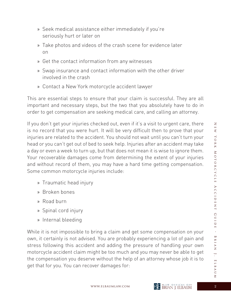- » Seek medical assistance either immediately if you're seriously hurt or later on
- » Take photos and videos of the crash scene for evidence later on
- » Get the contact information from any witnesses
- » Swap insurance and contact information with the other driver involved in the crash
- » Contact a New York motorcycle accident lawyer

This are essential steps to ensure that your claim is successful. They are all important and necessary steps, but the two that you absolutely have to do in order to get compensation are seeking medical care, and calling an attorney.

If you don't get your injuries checked out, even if it's a visit to urgent care, there is no record that you were hurt. It will be very difficult then to prove that your injuries are related to the accident. You should not wait until you can't turn your head or you can't get out of bed to seek help. Injuries after an accident may take a day or even a week to turn up, but that does not mean it is wise to ignore them. Your recoverable damages come from determining the extent of your injuries and without record of them, you may have a hard time getting compensation. Some common motorcycle injuries include:

- » Traumatic head injury
- » Broken bones
- » Road burn
- » Spinal cord injury
- » Internal bleeding

While it is not impossible to bring a claim and get some compensation on your own, it certainly is not advised. You are probably experiencing a lot of pain and stress following this accident and adding the pressure of handling your own motorcycle accident claim might be too much and you may never be able to get the compensation you deserve without the help of an attorney whose job it is to get that for you. You can recover damages for:



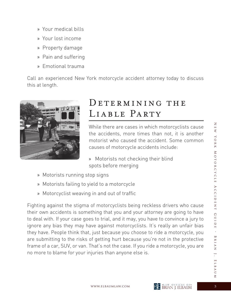$\overline{z}$ 

- » Your medical bills
- » Your lost income
- » Property damage
- » Pain and suffering
- » Emotional trauma

Call an experienced New York motorcycle accident attorney today to discuss this at length.



# DETERMINING THE LIABLE PARTY

While there are cases in which motorcyclists cause the accidents, more times than not, it is another motorist who caused the accident. Some common causes of motorcycle accidents include:

» Motorists not checking their blind spots before merging

- » Motorists running stop signs
- » Motorists failing to yield to a motorcycle
- » Motorcyclist weaving in and out of traffic

Fighting against the stigma of motorcyclists being reckless drivers who cause their own accidents is something that you and your attorney are going to have to deal with. If your case goes to trial, and it may, you have to convince a jury to ignore any bias they may have against motorcyclists. It's really an unfair bias they have. People think that, just because you choose to ride a motorcycle, you are submitting to the risks of getting hurt because you're not in the protective frame of a car, SUV, or van. That's not the case. If you ride a motorcycle, you are no more to blame for your injuries than anyone else is.

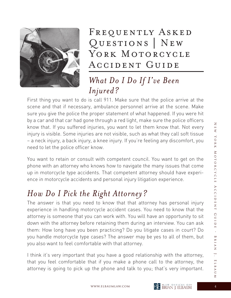

FREQUENTLY ASKED Questions | New YORK MOTORCYCLE Accident Guide

# *What Do I Do If I've Been Injured?*

First thing you want to do is call 911. Make sure that the police arrive at the scene and that if necessary, ambulance personnel arrive at the scene. Make sure you give the police the proper statement of what happened. If you were hit by a car and that car had gone through a red light, make sure the police officers know that. If you suffered injuries, you want to let them know that. Not every injury is visible. Some injuries are not visible, such as what they call soft tissue – a neck injury, a back injury, a knee injury. If you're feeling any discomfort, you need to let the police officer know.

You want to retain or consult with competent council. You want to get on the phone with an attorney who knows how to navigate the many issues that come up in motorcycle type accidents. That competent attorney should have experience in motorcycle accidents and personal injury litigation experience.

# *How Do I Pick the Right Attorney?*

The answer is that you need to know that that attorney has personal injury experience in handling motorcycle accident cases. You need to know that the attorney is someone that you can work with. You will have an opportunity to sit down with the attorney before retaining them during an interview. You can ask them: How long have you been practicing? Do you litigate cases in court? Do you handle motorcycle type cases? The answer may be yes to all of them, but you also want to feel comfortable with that attorney.

I think it's very important that you have a good relationship with the attorney, that you feel comfortable that if you make a phone call to the attorney, the attorney is going to pick up the phone and talk to you; that's very important.

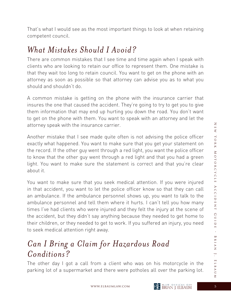That's what I would see as the most important things to look at when retaining competent council.

#### *What Mistakes Should I Avoid?*

There are common mistakes that I see time and time again when I speak with clients who are looking to retain our office to represent them. One mistake is that they wait too long to retain council. You want to get on the phone with an attorney as soon as possible so that attorney can advise you as to what you should and shouldn't do.

A common mistake is getting on the phone with the insurance carrier that insures the one that caused the accident. They're going to try to get you to give them information that may end up hurting you down the road. You don't want to get on the phone with them. You want to speak with an attorney and let the attorney speak with the insurance carrier.

Another mistake that I see made quite often is not advising the police officer exactly what happened. You want to make sure that you get your statement on the record. If the other guy went through a red light, you want the police officer to know that the other guy went through a red light and that you had a green light. You want to make sure the statement is correct and that you're clear about it.

You want to make sure that you seek medical attention. If you were injured in that accident, you want to let the police officer know so that they can call an ambulance. If the ambulance personnel shows up, you want to talk to the ambulance personnel and tell them where it hurts. I can't tell you how many times I've had clients who were injured and they felt the injury at the scene of the accident, but they didn't say anything because they needed to get home to their children, or they needed to get to work. If you suffered an injury, you need to seek medical attention right away.

## *Can I Bring a Claim for Hazardous Road Conditions?*

The other day I got a call from a client who was on his motorcycle in the parking lot of a supermarket and there were potholes all over the parking lot.



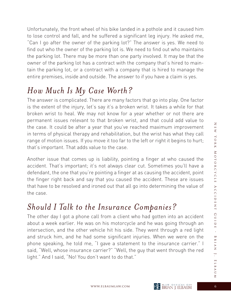Unfortunately, the front wheel of his bike landed in a pothole and it caused him to lose control and fall, and he suffered a significant leg injury. He asked me, "Can I go after the owner of the parking lot?" The answer is yes. We need to find out who the owner of the parking lot is. We need to find out who maintains the parking lot. There may be more than one party involved. It may be that the owner of the parking lot has a contract with the company that's hired to maintain the parking lot, or a contract with a company that is hired to manage the entire premises, inside and outside. The answer to if you have a claim is yes.

# *How Much Is My Case Worth?*

The answer is complicated. There are many factors that go into play. One factor is the extent of the injury, let's say it's a broken wrist. It takes a while for that broken wrist to heal. We may not know for a year whether or not there are permanent issues relevant to that broken wrist, and that could add value to the case. It could be after a year that you've reached maximum improvement in terms of physical therapy and rehabilitation, but the wrist has what they call range of motion issues. If you move it too far to the left or right it begins to hurt; that's important. That adds value to the case.

Another issue that comes up is liability, pointing a finger at who caused the accident. That's important; it's not always clear cut. Sometimes you'll have a defendant, the one that you're pointing a finger at as causing the accident, point the finger right back and say that you caused the accident. These are issues that have to be resolved and ironed out that all go into determining the value of the case.

# *Should I Talk to the Insurance Companies?*

The other day I got a phone call from a client who had gotten into an accident about a week earlier. He was on his motorcycle and he was going through an intersection, and the other vehicle hit his side. They went through a red light and struck him, and he had some significant injuries. When we were on the phone speaking, he told me, "I gave a statement to the insurance carrier." I said, "Well, whose insurance carrier?" "Well, the guy that went through the red light." And I said, "No! You don't want to do that."



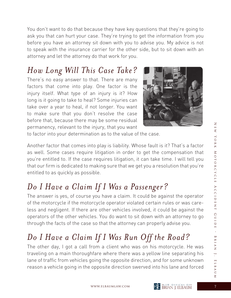You don't want to do that because they have key questions that they're going to ask you that can hurt your case. They're trying to get the information from you before you have an attorney sit down with you to advise you. My advice is not to speak with the insurance carrier for the other side, but to sit down with an attorney and let the attorney do that work for you.

#### *How Long Will This Case Take?*

There's no easy answer to that. There are many factors that come into play. One factor is the injury itself. What type of an injury is it? How long is it going to take to heal? Some injuries can take over a year to heal, if not longer. You want to make sure that you don't resolve the case before that, because there may be some residual permanency, relevant to the injury, that you want



to factor into your determination as to the value of the case.

Another factor that comes into play is liability. Whose fault is it? That's a factor as well. Some cases require litigation in order to get the compensation that you're entitled to. If the case requires litigation, it can take time. I will tell you that our firm is dedicated to making sure that we get you a resolution that you're entitled to as quickly as possible.

### *Do I Have a Claim If I Was a Passenger?*

The answer is yes, of course you have a claim. It could be against the operator of the motorcycle if the motorcycle operator violated certain rules or was careless and negligent. If there are other vehicles involved, it could be against the operators of the other vehicles. You do want to sit down with an attorney to go through the facts of the case so that the attorney can properly advise you.

# *Do I Have a Claim If I Was Run Off the Road?*

The other day, I got a call from a client who was on his motorcycle. He was traveling on a main thoroughfare where there was a yellow line separating his lane of traffic from vehicles going the opposite direction, and for some unknown reason a vehicle going in the opposite direction swerved into his lane and forced

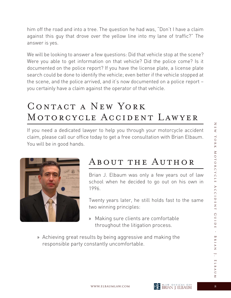him off the road and into a tree. The question he had was, "Don't I have a claim against this guy that drove over the yellow line into my lane of traffic?" The answer is yes.

We will be looking to answer a few questions: Did that vehicle stop at the scene? Were you able to get information on that vehicle? Did the police come? Is it documented on the police report? If you have the license plate, a license plate search could be done to identify the vehicle; even better if the vehicle stopped at the scene, and the police arrived, and it's now documented on a police report – you certainly have a claim against the operator of that vehicle.

# Contact a New York Motorcycle Accident Lawyer

If you need a dedicated lawyer to help you through your motorcycle accident claim, please call our office today to get a free consultation with Brian Elbaum. You will be in good hands.



# About the Author

Brian J. Elbaum was only a few years out of law school when he decided to go out on his own in 1996.

 Twenty years later, he still holds fast to the same two winning principles:

- » Making sure clients are comfortable throughout the litigation process.
- » Achieving great results by being aggressive and making the responsible party constantly uncomfortable.

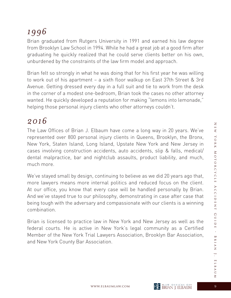# *1996*

Brian graduated from Rutgers University in 1991 and earned his law degree from Brooklyn Law School in 1994. While he had a great job at a good firm after graduating he quickly realized that he could serve clients better on his own, unburdened by the constraints of the law firm model and approach.

Brian felt so strongly in what he was doing that for his first year he was willing to work out of his apartment – a sixth floor walkup on East 37th Street & 3rd Avenue. Getting dressed every day in a full suit and tie to work from the desk in the corner of a modest one-bedroom, Brian took the cases no other attorney wanted. He quickly developed a reputation for making "lemons into lemonade," helping those personal injury clients who other attorneys couldn't.

#### *2016*

The Law Offices of Brian J. Elbaum have come a long way in 20 years. We've represented over 800 personal injury clients in Queens, Brooklyn, the Bronx, New York, Staten Island, Long Island, Upstate New York and New Jersey in cases involving construction accidents, auto accidents, slip & falls, medical/ dental malpractice, bar and nightclub assaults, product liability, and much, much more.

We've stayed small by design, continuing to believe as we did 20 years ago that, more lawyers means more internal politics and reduced focus on the client. At our office, you know that every case will be handled personally by Brian. And we've stayed true to our philosophy, demonstrating in case after case that being tough with the adversary and compassionate with our clients is a winning combination.

Brian is licensed to practice law in New York and New Jersey as well as the federal courts. He is active in New York's legal community as a Certified Member of the New York Trial Lawyers Association, Brooklyn Bar Association, and New York County Bar Association.

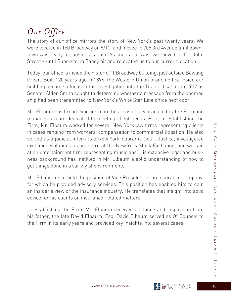# *Our Office*

The story of our office mirrors the story of New York's past twenty years. We were located in 150 Broadway on 9/11, and moved to 708 3rd Avenue until downtown was ready for business again. As soon as it was, we moved to 111 John Street – until Superstorm Sandy hit and relocated us to our current location.

Today, our office is inside the historic 11 Broadway building, just outside Bowling Green. Built 120 years ago in 1896, the Western Union branch office inside our building became a focus in the investigation into the Titanic disaster in 1912 as Senator Alden Smith sought to determine whether a message from the doomed ship had been transmitted to New York's White Star Line office next door.

Mr. Elbaum has broad experience in the areas of law practiced by the Firm and manages a team dedicated to meeting client needs. Prior to establishing the Firm, Mr. Elbaum worked for several New York law firms representing clients in cases ranging from workers' compensation to commercial litigation. He also served as a judicial intern to a New York Supreme Court Justice, investigated exchange violations as an intern at the New York Stock Exchange, and worked at an entertainment firm representing musicians. His extensive legal and business background has instilled in Mr. Elbaum a solid understanding of how to get things done in a variety of environments.

Mr. Elbaum once held the position of Vice President at an insurance company, for which he provided advisory services. This position has enabled him to gain an insider's view of the insurance industry. He translates that insight into solid advice for his clients on insurance-related matters.

In establishing the Firm, Mr. Elbaum received guidance and inspiration from his father, the late David Elbaum, Esq. David Elbaum served as Of Counsel to the Firm in its early years and provided key insights into several cases.